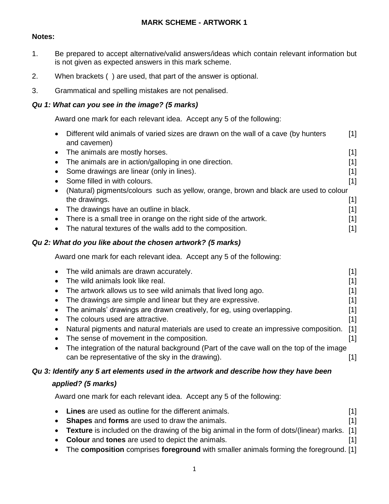#### **MARK SCHEME - ARTWORK 1**

#### **Notes:**

- 1. Be prepared to accept alternative/valid answers/ideas which contain relevant information but is not given as expected answers in this mark scheme.
- 2. When brackets ( ) are used, that part of the answer is optional.
- 3. Grammatical and spelling mistakes are not penalised.

#### *Qu 1: What can you see in the image? (5 marks)*

Award one mark for each relevant idea. Accept any 5 of the following:

| $\bullet$                                                                             | Different wild animals of varied sizes are drawn on the wall of a cave (by hunters<br>and cavemen) | [1]               |
|---------------------------------------------------------------------------------------|----------------------------------------------------------------------------------------------------|-------------------|
|                                                                                       | • The animals are mostly horses.                                                                   | $[1]$             |
|                                                                                       | • The animals are in action/galloping in one direction.                                            | [1]               |
|                                                                                       | Some drawings are linear (only in lines).                                                          | $[1]$             |
|                                                                                       | Some filled in with colours.                                                                       | $\lceil 1 \rceil$ |
| (Natural) pigments/colours such as yellow, orange, brown and black are used to colour |                                                                                                    |                   |
|                                                                                       | the drawings.                                                                                      | [1]               |
|                                                                                       | • The drawings have an outline in black.                                                           | $[1]$             |
| $\bullet$                                                                             | There is a small tree in orange on the right side of the artwork.                                  | [1]               |
|                                                                                       | The natural textures of the walls add to the composition.                                          | [1]               |
|                                                                                       |                                                                                                    |                   |

#### *Qu 2: What do you like about the chosen artwork? (5 marks)*

Award one mark for each relevant idea. Accept any 5 of the following:

|           | • The wild animals are drawn accurately.                                                 | [1]               |
|-----------|------------------------------------------------------------------------------------------|-------------------|
| $\bullet$ | The wild animals look like real.                                                         | [1]               |
|           | The artwork allows us to see wild animals that lived long ago.                           | [1]               |
|           | • The drawings are simple and linear but they are expressive.                            | $\lceil 1 \rceil$ |
|           | • The animals' drawings are drawn creatively, for eg, using overlapping.                 | [1]               |
| $\bullet$ | The colours used are attractive.                                                         | [1]               |
|           | Natural pigments and natural materials are used to create an impressive composition. [1] |                   |
| $\bullet$ | The sense of movement in the composition.                                                |                   |
|           | The integration of the natural background (Part of the cave wall on the top of the image |                   |
|           | can be representative of the sky in the drawing).                                        |                   |

#### *Qu 3: Identify any 5 art elements used in the artwork and describe how they have been*

#### *applied? (5 marks)*

Award one mark for each relevant idea. Accept any 5 of the following:

| • Lines are used as outline for the different animals.                                         |  |
|------------------------------------------------------------------------------------------------|--|
| • Shapes and forms are used to draw the animals.                                               |  |
| • Texture is included on the drawing of the big animal in the form of dots/(linear) marks. [1] |  |
| • Colour and tones are used to depict the animals.                                             |  |

The **composition** comprises **foreground** with smaller animals forming the foreground. [1]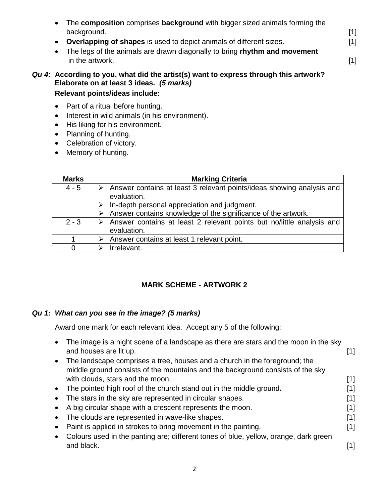| • The composition comprises background with bigger sized animals forming the |                                                                                                                                                                                                            |
|------------------------------------------------------------------------------|------------------------------------------------------------------------------------------------------------------------------------------------------------------------------------------------------------|
| background.                                                                  | $[1] % \includegraphics[width=0.9\columnwidth]{figures/fig_10.pdf} \caption{The figure shows the number of times on the left and right. The left is the number of times on the right.} \label{fig:time} %$ |
| • Overlapping of shapes is used to depict animals of different sizes.        | [1]                                                                                                                                                                                                        |
| • The legs of the animals are drawn diagonally to bring rhythm and movement  |                                                                                                                                                                                                            |
| in the artwork.                                                              | [1]                                                                                                                                                                                                        |
|                                                                              |                                                                                                                                                                                                            |

### *Qu 4:* **According to you, what did the artist(s) want to express through this artwork? Elaborate on at least 3 ideas.** *(5 marks)* **Relevant points/ideas include:**

#### • Part of a ritual before hunting.

- Interest in wild animals (in his environment).
- His liking for his environment.
- Planning of hunting.
- Celebration of victory.
- Memory of hunting.

| <b>Marks</b> | <b>Marking Criteria</b>                                                              |
|--------------|--------------------------------------------------------------------------------------|
| $4 - 5$      | Answer contains at least 3 relevant points/ideas showing analysis and<br>evaluation. |
|              | In-depth personal appreciation and judgment.                                         |
|              | Answer contains knowledge of the significance of the artwork.                        |
| $2 - 3$      | Answer contains at least 2 relevant points but no/little analysis and<br>evaluation. |
|              | Answer contains at least 1 relevant point.                                           |
| $\Omega$     | Irrelevant.                                                                          |

# **MARK SCHEME - ARTWORK 2**

#### *Qu 1: What can you see in the image? (5 marks)*

Award one mark for each relevant idea. Accept any 5 of the following:

| The image is a night scene of a landscape as there are stars and the moon in the sky<br>and houses are lit up.                                               | [1]   |
|--------------------------------------------------------------------------------------------------------------------------------------------------------------|-------|
| The landscape comprises a tree, houses and a church in the foreground; the<br>middle ground consists of the mountains and the background consists of the sky |       |
| with clouds, stars and the moon.                                                                                                                             | $[1]$ |
| The pointed high roof of the church stand out in the middle ground.                                                                                          | [1]   |
| The stars in the sky are represented in circular shapes.                                                                                                     | [1]   |
| A big circular shape with a crescent represents the moon.                                                                                                    | 1     |
| The clouds are represented in wave-like shapes.                                                                                                              | [1]   |
| Paint is applied in strokes to bring movement in the painting.                                                                                               | [1]   |
| Colours used in the panting are; different tones of blue, yellow, orange, dark green                                                                         |       |
| and black.                                                                                                                                                   | [1]   |
|                                                                                                                                                              |       |